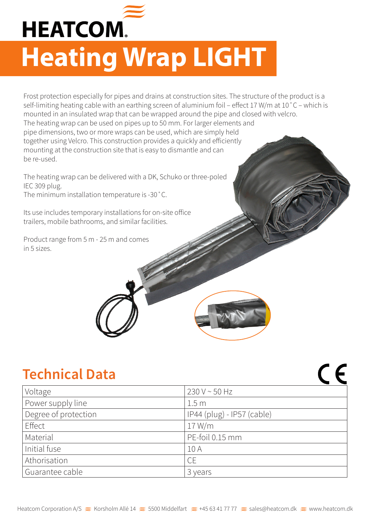

## **Heating Wrap LIGHT**

Frost protection especially for pipes and drains at construction sites. The structure of the product is a self-limiting heating cable with an earthing screen of aluminium foil – effect 17 W/m at 10˚C – which is mounted in an insulated wrap that can be wrapped around the pipe and closed with velcro. The heating wrap can be used on pipes up to 50 mm. For larger elements and pipe dimensions, two or more wraps can be used, which are simply held together using Velcro. This construction provides a quickly and efficiently mounting at the construction site that is easy to dismantle and can be re-used.

The heating wrap can be delivered with a DK, Schuko or three-poled IEC 309 plug. The minimum installation temperature is -30˚C.

Its use includes temporary installations for on-site office trailers, mobile bathrooms, and similar facilities.

Product range from 5 m - 25 m and comes in 5 sizes.

## **Technical Data**

| Voltage              | $230 V \sim 50 Hz$         |
|----------------------|----------------------------|
| Power supply line    | 1.5 <sub>m</sub>           |
| Degree of protection | IP44 (plug) - IP57 (cable) |
| Effect               | 17 W/m                     |
| Material             | PE-foil 0.15 mm            |
| Initial fuse         | 10 A                       |
| Athorisation         | <b>CE</b>                  |
| Guarantee cable      | 3 years                    |

 $\epsilon$